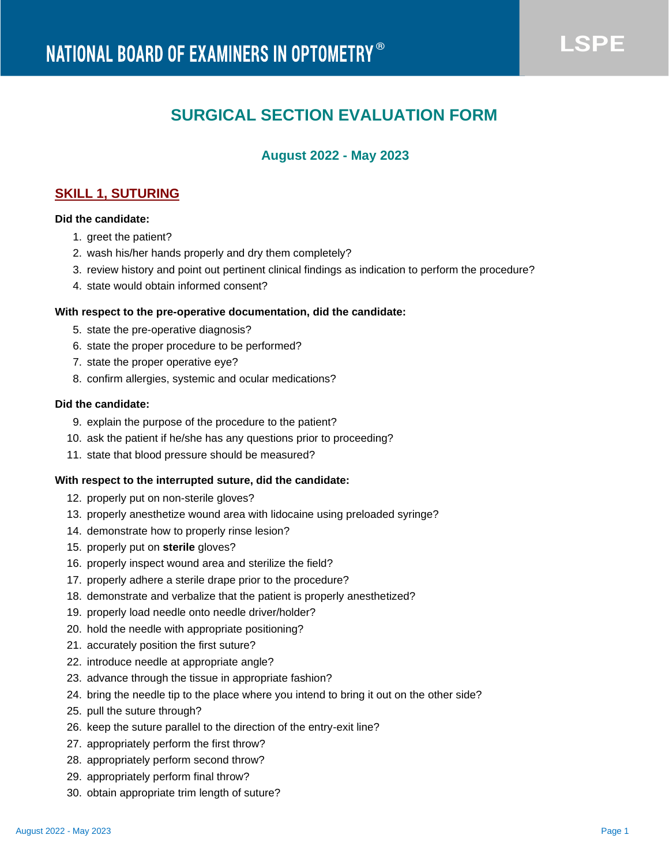# **SURGICAL SECTION EVALUATION FORM**

# **August 2022 - May 2023**

# **SKILL 1, SUTURING**

# **Did the candidate:**

- 1. greet the patient?
- 2. wash his/her hands properly and dry them completely?
- 3. review history and point out pertinent clinical findings as indication to perform the procedure?
- 4. state would obtain informed consent?

## **With respect to the pre-operative documentation, did the candidate:**

- 5. state the pre-operative diagnosis?
- 6. state the proper procedure to be performed?
- 7. state the proper operative eye?
- 8. confirm allergies, systemic and ocular medications?

# **Did the candidate:**

- 9. explain the purpose of the procedure to the patient?
- 10. ask the patient if he/she has any questions prior to proceeding?
- 11. state that blood pressure should be measured?

## **With respect to the interrupted suture, did the candidate:**

- 12. properly put on non-sterile gloves?
- 13. properly anesthetize wound area with lidocaine using preloaded syringe?
- 14. demonstrate how to properly rinse lesion?
- 15. properly put on **sterile** gloves?
- 16. properly inspect wound area and sterilize the field?
- 17. properly adhere a sterile drape prior to the procedure?
- 18. demonstrate and verbalize that the patient is properly anesthetized?
- 19. properly load needle onto needle driver/holder?
- 20. hold the needle with appropriate positioning?
- 21. accurately position the first suture?
- 22. introduce needle at appropriate angle?
- 23. advance through the tissue in appropriate fashion?
- 24. bring the needle tip to the place where you intend to bring it out on the other side?
- 25. pull the suture through?
- 26. keep the suture parallel to the direction of the entry-exit line?
- 27. appropriately perform the first throw?
- 28. appropriately perform second throw?
- 29. appropriately perform final throw?
- 30. obtain appropriate trim length of suture?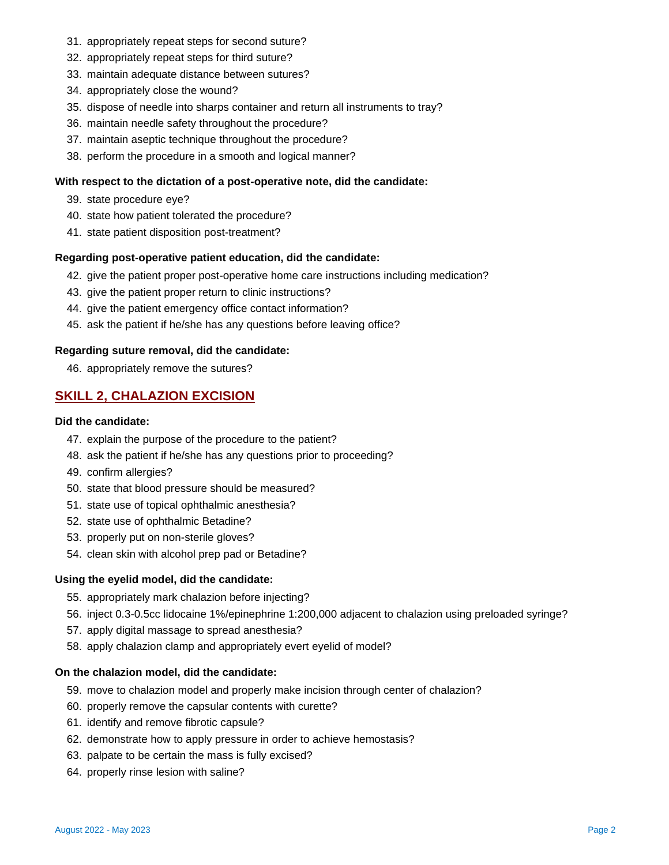- 31. appropriately repeat steps for second suture?
- 32. appropriately repeat steps for third suture?
- 33. maintain adequate distance between sutures?
- 34. appropriately close the wound?
- 35. dispose of needle into sharps container and return all instruments to tray?
- 36. maintain needle safety throughout the procedure?
- 37. maintain aseptic technique throughout the procedure?
- 38. perform the procedure in a smooth and logical manner?

#### **With respect to the dictation of a post-operative note, did the candidate:**

- 39. state procedure eye?
- 40. state how patient tolerated the procedure?
- 41. state patient disposition post-treatment?

#### **Regarding post-operative patient education, did the candidate:**

- 42. give the patient proper post-operative home care instructions including medication?
- 43. give the patient proper return to clinic instructions?
- 44. give the patient emergency office contact information?
- 45. ask the patient if he/she has any questions before leaving office?

#### **Regarding suture removal, did the candidate:**

46. appropriately remove the sutures?

# **SKILL 2, CHALAZION EXCISION**

# **Did the candidate:**

- 47. explain the purpose of the procedure to the patient?
- 48. ask the patient if he/she has any questions prior to proceeding?
- 49. confirm allergies?
- 50. state that blood pressure should be measured?
- 51. state use of topical ophthalmic anesthesia?
- 52. state use of ophthalmic Betadine?
- 53. properly put on non-sterile gloves?
- 54. clean skin with alcohol prep pad or Betadine?

#### **Using the eyelid model, did the candidate:**

- 55. appropriately mark chalazion before injecting?
- 56. inject 0.3-0.5cc lidocaine 1%/epinephrine 1:200,000 adjacent to chalazion using preloaded syringe?
- 57. apply digital massage to spread anesthesia?
- 58. apply chalazion clamp and appropriately evert eyelid of model?

## **On the chalazion model, did the candidate:**

- 59. move to chalazion model and properly make incision through center of chalazion?
- 60. properly remove the capsular contents with curette?
- 61. identify and remove fibrotic capsule?
- 62. demonstrate how to apply pressure in order to achieve hemostasis?
- 63. palpate to be certain the mass is fully excised?
- 64. properly rinse lesion with saline?